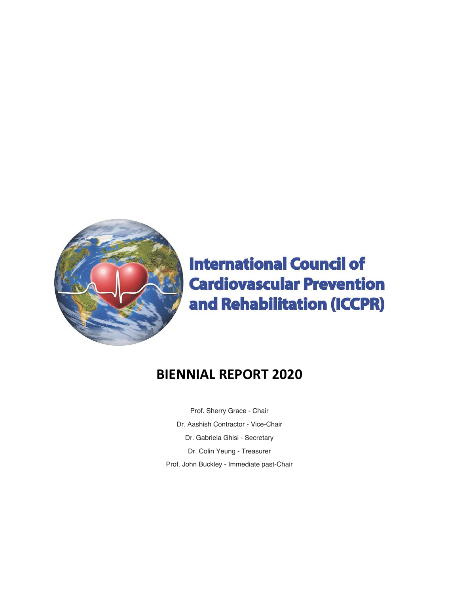

# **International Council of Cardiovascular Prevention** and Rehabilitation (ICCPR)

## **BIENNIAL REPORT 2020**

Prof. Sherry Grace - Chair Dr. Aashish Contractor - Vice-Chair Dr. Gabriela Ghisi - Secretary Dr. Colin Yeung - Treasurer Prof. John Buckley - Immediate past-Chair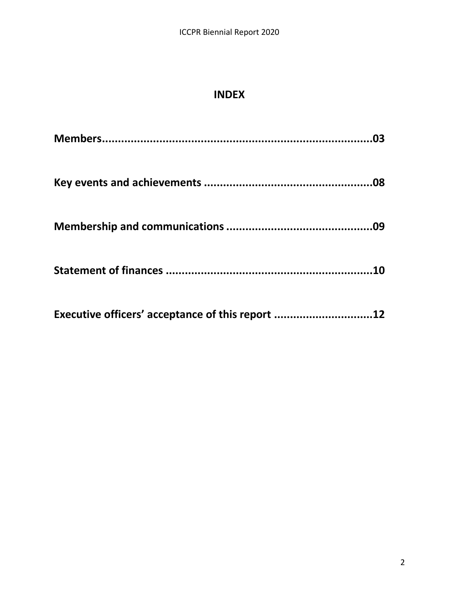## **INDEX**

| Executive officers' acceptance of this report 12 |  |
|--------------------------------------------------|--|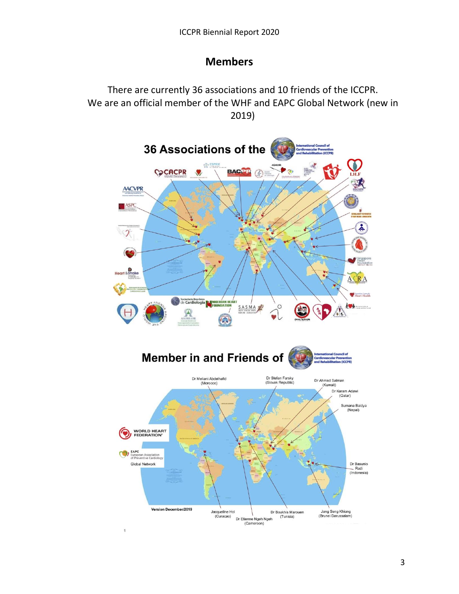#### **Members**

There are currently 36 associations and 10 friends of the ICCPR. We are an official member of the WHF and EAPC Global Network (new in 2019)

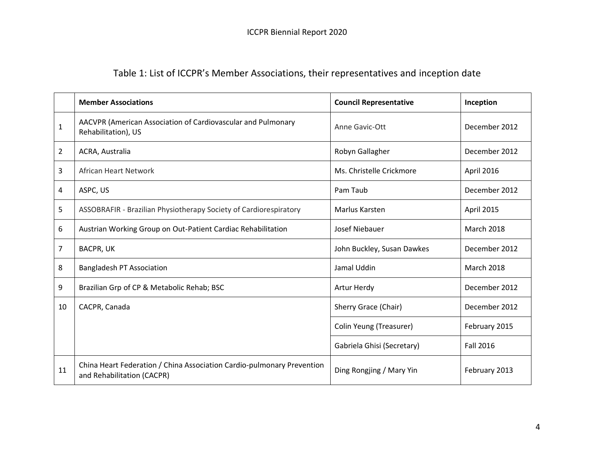## Table 1: List of ICCPR's Member Associations, their representatives and inception date

|                | <b>Member Associations</b>                                                                           | <b>Council Representative</b>         | Inception         |
|----------------|------------------------------------------------------------------------------------------------------|---------------------------------------|-------------------|
| $\mathbf{1}$   | AACVPR (American Association of Cardiovascular and Pulmonary<br>Rehabilitation), US                  | Anne Gavic-Ott                        | December 2012     |
| $\overline{2}$ | ACRA, Australia                                                                                      | Robyn Gallagher                       | December 2012     |
| 3              | African Heart Network                                                                                | Ms. Christelle Crickmore              | April 2016        |
| 4              | ASPC, US                                                                                             | Pam Taub<br>December 2012             |                   |
| 5              | ASSOBRAFIR - Brazilian Physiotherapy Society of Cardiorespiratory                                    | Marlus Karsten                        | April 2015        |
| 6              | Austrian Working Group on Out-Patient Cardiac Rehabilitation                                         | Josef Niebauer                        | <b>March 2018</b> |
| 7              | <b>BACPR, UK</b>                                                                                     | John Buckley, Susan Dawkes            | December 2012     |
| 8              | <b>Bangladesh PT Association</b>                                                                     | Jamal Uddin                           | <b>March 2018</b> |
| 9              | Brazilian Grp of CP & Metabolic Rehab; BSC                                                           | Artur Herdy<br>December 2012          |                   |
| 10             | CACPR, Canada                                                                                        | Sherry Grace (Chair)<br>December 2012 |                   |
|                |                                                                                                      | Colin Yeung (Treasurer)               | February 2015     |
|                |                                                                                                      | Gabriela Ghisi (Secretary)            | <b>Fall 2016</b>  |
| 11             | China Heart Federation / China Association Cardio-pulmonary Prevention<br>and Rehabilitation (CACPR) | Ding Rongjing / Mary Yin              | February 2013     |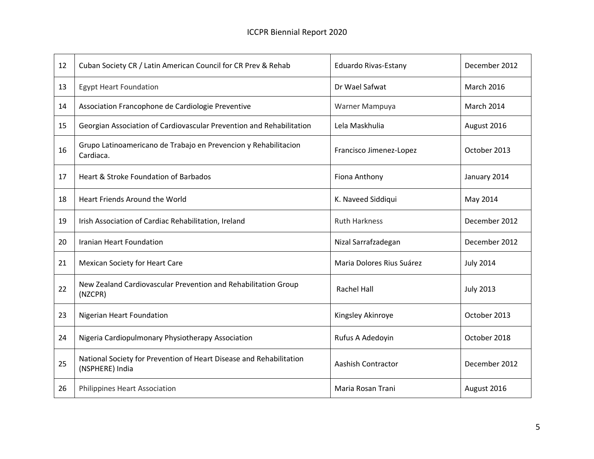| 12 | Cuban Society CR / Latin American Council for CR Prev & Rehab<br><b>Eduardo Rivas-Estany</b> |                           | December 2012     |
|----|----------------------------------------------------------------------------------------------|---------------------------|-------------------|
| 13 | Dr Wael Safwat<br><b>Egypt Heart Foundation</b>                                              |                           | <b>March 2016</b> |
| 14 | Association Francophone de Cardiologie Preventive                                            | Warner Mampuya            | March 2014        |
| 15 | Georgian Association of Cardiovascular Prevention and Rehabilitation                         | Lela Maskhulia            | August 2016       |
| 16 | Grupo Latinoamericano de Trabajo en Prevencion y Rehabilitacion<br>Cardiaca.                 | Francisco Jimenez-Lopez   | October 2013      |
| 17 | Heart & Stroke Foundation of Barbados                                                        | Fiona Anthony             | January 2014      |
| 18 | Heart Friends Around the World                                                               | K. Naveed Siddiqui        | May 2014          |
| 19 | Irish Association of Cardiac Rehabilitation, Ireland                                         | <b>Ruth Harkness</b>      | December 2012     |
| 20 | Iranian Heart Foundation                                                                     | Nizal Sarrafzadegan       | December 2012     |
| 21 | <b>Mexican Society for Heart Care</b>                                                        | Maria Dolores Rius Suárez | <b>July 2014</b>  |
| 22 | New Zealand Cardiovascular Prevention and Rehabilitation Group<br>(NZCPR)                    | <b>Rachel Hall</b>        | <b>July 2013</b>  |
| 23 | <b>Nigerian Heart Foundation</b>                                                             | Kingsley Akinroye         | October 2013      |
| 24 | Nigeria Cardiopulmonary Physiotherapy Association                                            | Rufus A Adedoyin          | October 2018      |
| 25 | National Society for Prevention of Heart Disease and Rehabilitation<br>(NSPHERE) India       | <b>Aashish Contractor</b> | December 2012     |
| 26 | Philippines Heart Association                                                                | Maria Rosan Trani         | August 2016       |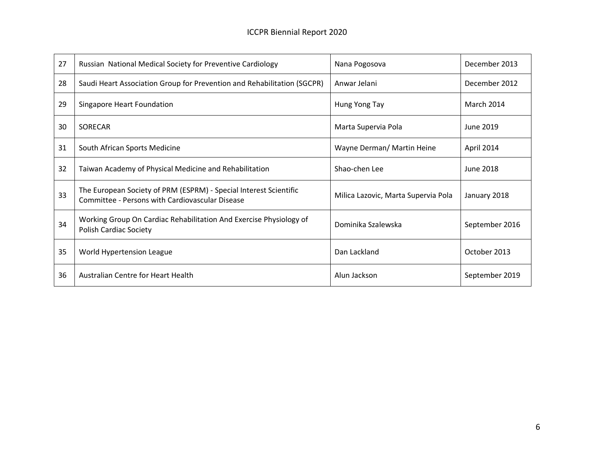| 27 | Russian National Medical Society for Preventive Cardiology<br>Nana Pogosova                                          |                                     | December 2013     |
|----|----------------------------------------------------------------------------------------------------------------------|-------------------------------------|-------------------|
| 28 | Saudi Heart Association Group for Prevention and Rehabilitation (SGCPR)                                              | Anwar Jelani                        |                   |
| 29 | Singapore Heart Foundation                                                                                           | Hung Yong Tay                       | <b>March 2014</b> |
| 30 | SORECAR                                                                                                              | Marta Supervia Pola<br>June 2019    |                   |
| 31 | South African Sports Medicine                                                                                        | Wayne Derman/ Martin Heine          |                   |
| 32 | Taiwan Academy of Physical Medicine and Rehabilitation                                                               | Shao-chen Lee                       | June 2018         |
| 33 | The European Society of PRM (ESPRM) - Special Interest Scientific<br>Committee - Persons with Cardiovascular Disease | Milica Lazovic, Marta Supervia Pola |                   |
| 34 | Working Group On Cardiac Rehabilitation And Exercise Physiology of<br><b>Polish Cardiac Society</b>                  | Dominika Szalewska                  | September 2016    |
| 35 | World Hypertension League                                                                                            | Dan Lackland                        | October 2013      |
| 36 | Australian Centre for Heart Health                                                                                   | Alun Jackson                        | September 2019    |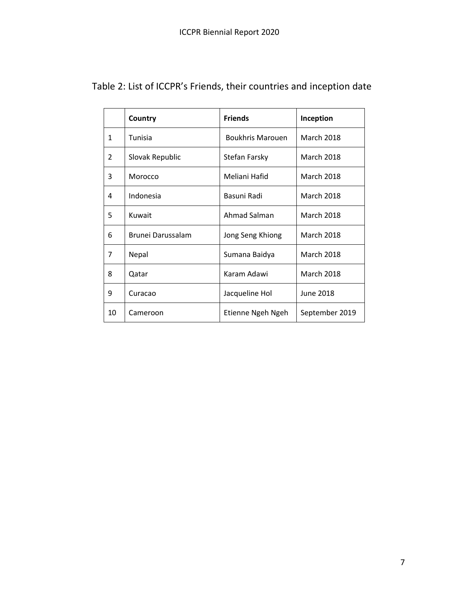|               | Country           | <b>Friends</b>          | Inception         |
|---------------|-------------------|-------------------------|-------------------|
| $\mathbf{1}$  | Tunisia           | <b>Boukhris Marouen</b> | <b>March 2018</b> |
| $\mathcal{P}$ | Slovak Republic   | Stefan Farsky           | <b>March 2018</b> |
| 3             | Morocco           | Meliani Hafid           | <b>March 2018</b> |
| 4             | Indonesia         | Basuni Radi             | <b>March 2018</b> |
| 5             | Kuwait            | Ahmad Salman            | <b>March 2018</b> |
| 6             | Brunei Darussalam | Jong Seng Khiong        | <b>March 2018</b> |
| 7             | Nepal             | Sumana Baidya           | <b>March 2018</b> |
| 8             | Qatar             | Karam Adawi             | <b>March 2018</b> |
| 9             | Curacao           | Jacqueline Hol          | June 2018         |
| 10            | Cameroon          | Etienne Ngeh Ngeh       | September 2019    |

Table 2: List of ICCPR's Friends, their countries and inception date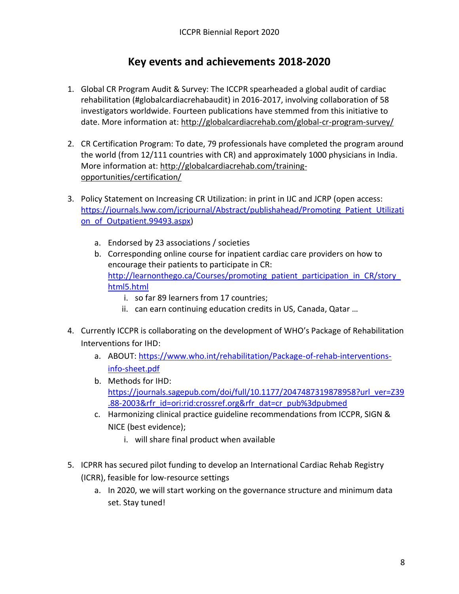#### **Key events and achievements 2018-2020**

- 1. Global CR Program Audit & Survey: The ICCPR spearheaded a global audit of cardiac rehabilitation (#globalcardiacrehabaudit) in 2016-2017, involving collaboration of 58 investigators worldwide. Fourteen publications have stemmed from this initiative to date. More information at:<http://globalcardiacrehab.com/global-cr-program-survey/>
- 2. CR Certification Program: To date, 79 professionals have completed the program around the world (from 12/111 countries with CR) and approximately 1000 physicians in India. More information at: [http://globalcardiacrehab.com/training](http://globalcardiacrehab.com/training-opportunities/certification/)[opportunities/certification/](http://globalcardiacrehab.com/training-opportunities/certification/)
- 3. Policy Statement on Increasing CR Utilization: in print in IJC and JCRP (open access: [https://journals.lww.com/jcrjournal/Abstract/publishahead/Promoting\\_Patient\\_Utilizati](https://journals.lww.com/jcrjournal/Abstract/publishahead/Promoting_Patient_Utilization_of_Outpatient.99493.aspx) on of Outpatient.99493.aspx)
	- a. Endorsed by 23 associations / societies
	- b. Corresponding online course for inpatient cardiac care providers on how to encourage their patients to participate in CR: http://learnonthego.ca/Courses/promoting\_patient\_participation\_in\_CR/story [html5.html](http://learnonthego.ca/Courses/promoting_patient_participation_in_CR/story_html5.html)
		- i. so far 89 learners from 17 countries;
		- ii. can earn continuing education credits in US, Canada, Qatar …
- 4. Currently ICCPR is collaborating on the development of WHO's Package of Rehabilitation Interventions for IHD:
	- a. ABOUT: [https://www.who.int/rehabilitation/Package-of-rehab-interventions](https://www.who.int/rehabilitation/Package-of-rehab-interventions-info-sheet.pdf)[info-sheet.pdf](https://www.who.int/rehabilitation/Package-of-rehab-interventions-info-sheet.pdf)
	- b. Methods for IHD: [https://journals.sagepub.com/doi/full/10.1177/2047487319878958?url\\_ver=Z39](https://journals.sagepub.com/doi/full/10.1177/2047487319878958?url_ver=Z39.88-2003&rfr_id=ori:rid:crossref.org&rfr_dat=cr_pub%3dpubmed) [.88-2003&rfr\\_id=ori:rid:crossref.org&rfr\\_dat=cr\\_pub%3dpubmed](https://journals.sagepub.com/doi/full/10.1177/2047487319878958?url_ver=Z39.88-2003&rfr_id=ori:rid:crossref.org&rfr_dat=cr_pub%3dpubmed)
	- c. Harmonizing clinical practice guideline recommendations from ICCPR, SIGN & NICE (best evidence);
		- i. will share final product when available
- 5. ICPRR has secured pilot funding to develop an International Cardiac Rehab Registry (ICRR), feasible for low-resource settings
	- a. In 2020, we will start working on the governance structure and minimum data set. Stay tuned!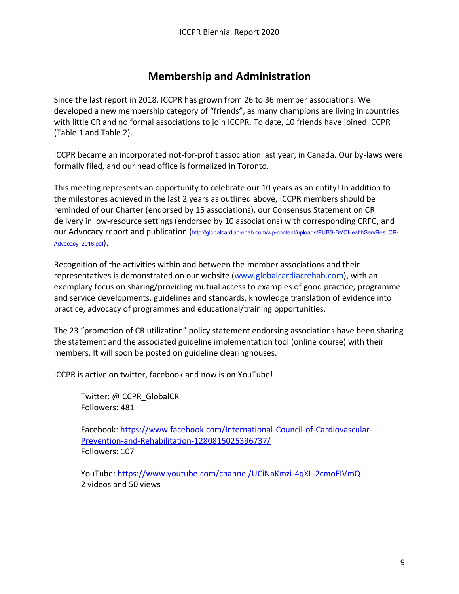#### **Membership and Administration**

Since the last report in 2018, ICCPR has grown from 26 to 36 member associations. We developed a new membership category of "friends", as many champions are living in countries with little CR and no formal associations to join ICCPR. To date, 10 friends have joined ICCPR (Table 1 and Table 2).

ICCPR became an incorporated not-for-profit association last year, in Canada. Our by-laws were formally filed, and our head office is formalized in Toronto.

This meeting represents an opportunity to celebrate our 10 years as an entity! In addition to the milestones achieved in the last 2 years as outlined above, ICCPR members should be reminded of our Charter (endorsed by 15 associations), our Consensus Statement on CR delivery in low-resource settings (endorsed by 10 associations) with corresponding CRFC, and our Advocacy report and publication ([http://globalcardiacrehab.com/wp-content/uploads/PUBS-BMCHealthServRes\\_CR-](http://globalcardiacrehab.com/wp-content/uploads/PUBS-BMCHealthServRes_CR-Advocacy_2016.pdf)[Advocacy\\_2016.pdf](http://globalcardiacrehab.com/wp-content/uploads/PUBS-BMCHealthServRes_CR-Advocacy_2016.pdf)).

Recognition of the activities within and between the member associations and their representatives is demonstrated on our website (www.globalcardiacrehab.com), with an exemplary focus on sharing/providing mutual access to examples of good practice, programme and service developments, guidelines and standards, knowledge translation of evidence into practice, advocacy of programmes and educational/training opportunities.

The 23 "promotion of CR utilization" policy statement endorsing associations have been sharing the statement and the associated guideline implementation tool (online course) with their members. It will soon be posted on guideline clearinghouses.

ICCPR is active on twitter, facebook and now is on YouTube!

Twitter: @ICCPR\_GlobalCR Followers: 481

Facebook: [https://www.facebook.com/International-Council-of-Cardiovascular-](https://www.facebook.com/International-Council-of-Cardiovascular-Prevention-and-Rehabilitation-1280815025396737/)[Prevention-and-Rehabilitation-1280815025396737/](https://www.facebook.com/International-Council-of-Cardiovascular-Prevention-and-Rehabilitation-1280815025396737/) Followers: 107

YouTube:<https://www.youtube.com/channel/UCiNaKmzi-4qXL-2cmoEIVmQ> 2 videos and 50 views